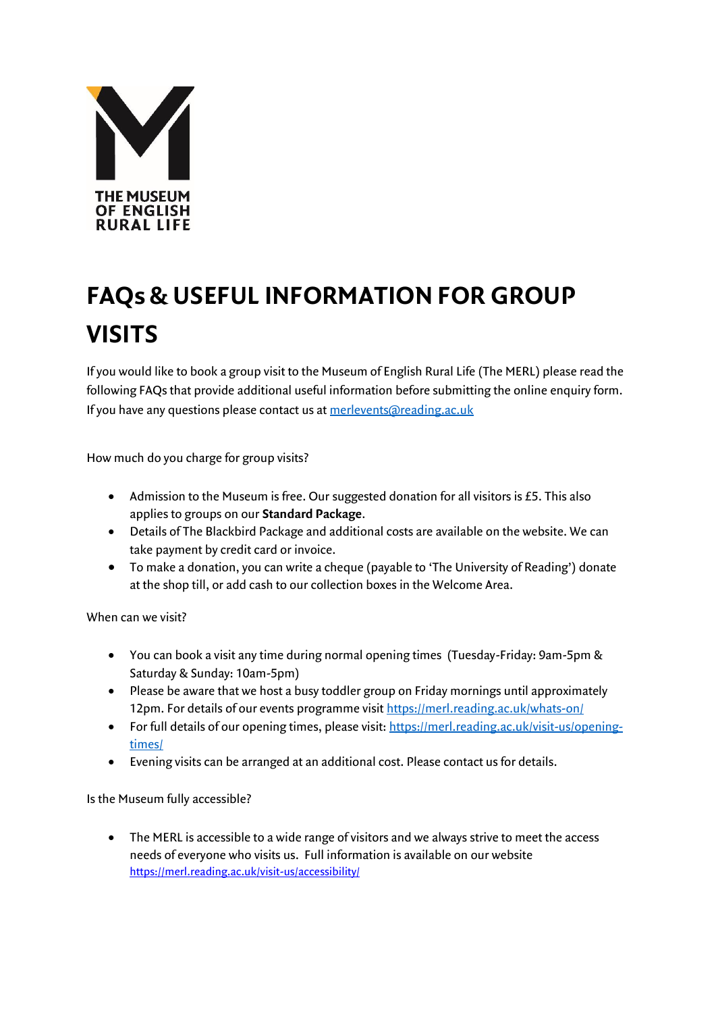

## **FAQs & USEFUL INFORMATION FOR GROUP VISITS**

If you would like to book a group visit to the Museum of English Rural Life (The MERL) please read the following FAQs that provide additional useful information before submitting the online enquiry form. If you have any questions please contact us at [merlevents@reading.ac.uk](mailto:merlevents@reading.ac.uk)

How much do you charge for group visits?

- Admission to the Museum is free. Our suggested donation for all visitors is £5. This also applies to groups on our **Standard Package**.
- Details of The Blackbird Package and additional costs are available on the website. We can take payment by credit card or invoice.
- To make a donation, you can write a cheque (payable to 'The University of Reading') donate at the shop till, or add cash to our collection boxes in the Welcome Area.

When can we visit?

- You can book a visit any time during normal opening times (Tuesday-Friday: 9am-5pm & Saturday & Sunday: 10am-5pm)
- Please be aware that we host a busy toddler group on Friday mornings until approximately 12pm. For details of our events programme visi[t https://merl.reading.ac.uk/whats-on/](https://merl.reading.ac.uk/whats-on/)
- For full details of our opening times, please visit[: https://merl.reading.ac.uk/visit-us/opening](https://merl.reading.ac.uk/visit-us/opening-times/)[times/](https://merl.reading.ac.uk/visit-us/opening-times/)
- Evening visits can be arranged at an additional cost. Please contact us for details.

Is the Museum fully accessible?

 The MERL is accessible to a wide range of visitors and we always strive to meet the access needs of everyone who visits us. Full information is available on our website <https://merl.reading.ac.uk/visit-us/accessibility/>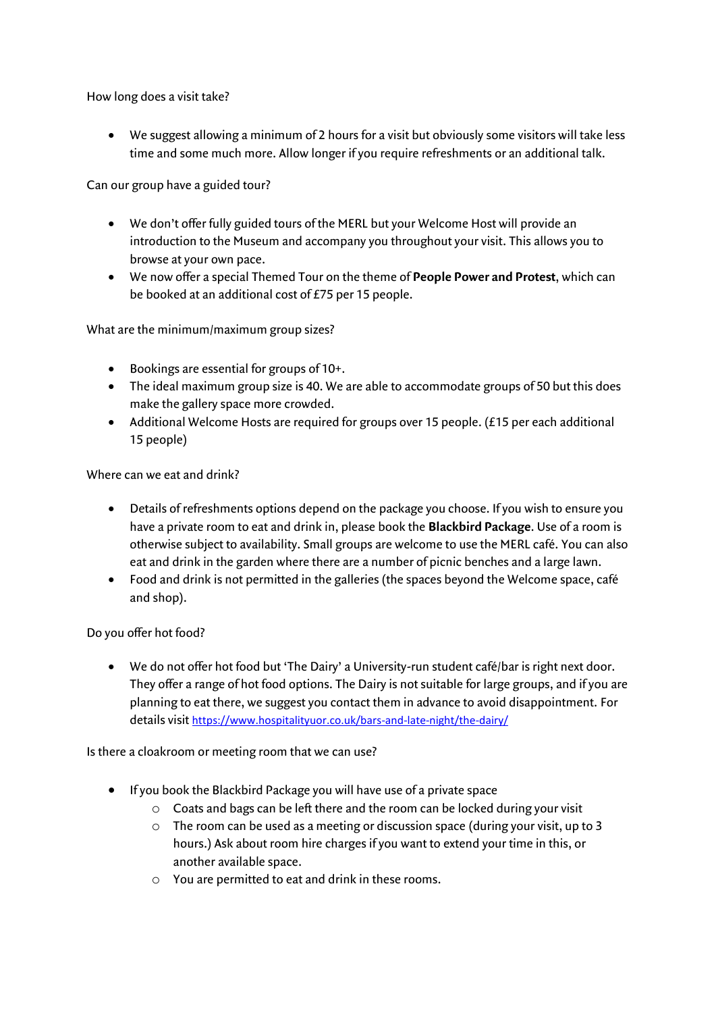How long does a visit take?

 We suggest allowing a minimum of 2 hours for a visit but obviously some visitors will take less time and some much more. Allow longer if you require refreshments or an additional talk.

Can our group have a guided tour?

- We don't offer fully guided tours of the MERL but your Welcome Host will provide an introduction to the Museum and accompany you throughout your visit. This allows you to browse at your own pace.
- We now offer a special Themed Tour on the theme of **People Power and Protest**, which can be booked at an additional cost of £75 per 15 people.

What are the minimum/maximum group sizes?

- Bookings are essential for groups of 10+.
- The ideal maximum group size is 40. We are able to accommodate groups of 50 but this does make the gallery space more crowded.
- Additional Welcome Hosts are required for groups over 15 people. (£15 per each additional 15 people)

Where can we eat and drink?

- Details of refreshments options depend on the package you choose. If you wish to ensure you have a private room to eat and drink in, please book the **Blackbird Package**. Use of a room is otherwise subject to availability. Small groups are welcome to use the MERL café. You can also eat and drink in the garden where there are a number of picnic benches and a large lawn.
- Food and drink is not permitted in the galleries (the spaces beyond the Welcome space, café and shop).

Do you offer hot food?

 We do not offer hot food but 'The Dairy' a University-run student café/bar is right next door. They offer a range of hot food options. The Dairy is not suitable for large groups, and if you are planning to eat there, we suggest you contact them in advance to avoid disappointment. For details visit <https://www.hospitalityuor.co.uk/bars-and-late-night/the-dairy/>

Is there a cloakroom or meeting room that we can use?

- If you book the Blackbird Package you will have use of a private space
	- o Coats and bags can be left there and the room can be locked during your visit
	- o The room can be used as a meeting or discussion space (during your visit, up to 3 hours.) Ask about room hire charges if you want to extend your time in this, or another available space.
	- o You are permitted to eat and drink in these rooms.